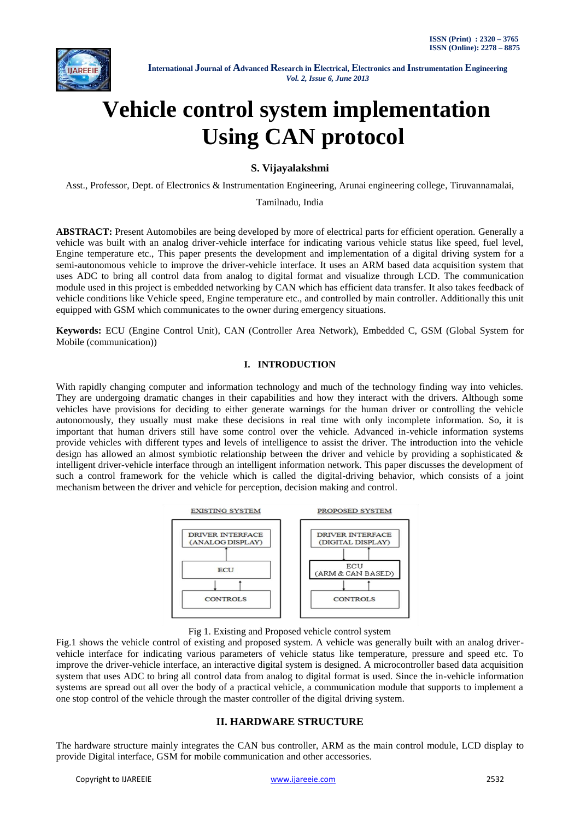

# **Vehicle control system implementation Using CAN protocol**

## **S. Vijayalakshmi**

Asst., Professor, Dept. of Electronics & Instrumentation Engineering, Arunai engineering college, Tiruvannamalai,

Tamilnadu, India

**ABSTRACT:** Present Automobiles are being developed by more of electrical parts for efficient operation. Generally a vehicle was built with an analog driver-vehicle interface for indicating various vehicle status like speed, fuel level, Engine temperature etc., This paper presents the development and implementation of a digital driving system for a semi-autonomous vehicle to improve the driver-vehicle interface. It uses an ARM based data acquisition system that uses ADC to bring all control data from analog to digital format and visualize through LCD. The communication module used in this project is embedded networking by CAN which has efficient data transfer. It also takes feedback of vehicle conditions like Vehicle speed, Engine temperature etc., and controlled by main controller. Additionally this unit equipped with GSM which communicates to the owner during emergency situations.

**Keywords:** ECU (Engine Control Unit), CAN (Controller Area Network), Embedded C, GSM (Global System for Mobile (communication))

### **I. INTRODUCTION**

With rapidly changing computer and information technology and much of the technology finding way into vehicles. They are undergoing dramatic changes in their capabilities and how they interact with the drivers. Although some vehicles have provisions for deciding to either generate warnings for the human driver or controlling the vehicle autonomously, they usually must make these decisions in real time with only incomplete information. So, it is important that human drivers still have some control over the vehicle. Advanced in-vehicle information systems provide vehicles with different types and levels of intelligence to assist the driver. The introduction into the vehicle design has allowed an almost symbiotic relationship between the driver and vehicle by providing a sophisticated  $\&$ intelligent driver-vehicle interface through an intelligent information network. This paper discusses the development of such a control framework for the vehicle which is called the digital-driving behavior, which consists of a joint mechanism between the driver and vehicle for perception, decision making and control.



Fig 1. Existing and Proposed vehicle control system

Fig.1 shows the vehicle control of existing and proposed system. A vehicle was generally built with an analog drivervehicle interface for indicating various parameters of vehicle status like temperature, pressure and speed etc. To improve the driver-vehicle interface, an interactive digital system is designed. A microcontroller based data acquisition system that uses ADC to bring all control data from analog to digital format is used. Since the in-vehicle information systems are spread out all over the body of a practical vehicle, a communication module that supports to implement a one stop control of the vehicle through the master controller of the digital driving system.

## **II. HARDWARE STRUCTURE**

The hardware structure mainly integrates the CAN bus controller, ARM as the main control module, LCD display to provide Digital interface, GSM for mobile communication and other accessories.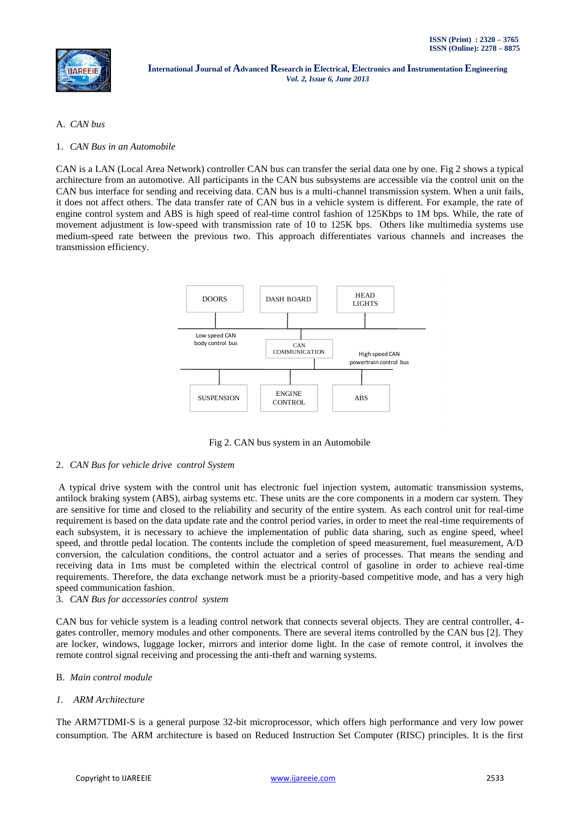#### A. *CAN bus*

1. *CAN Bus in an Automobile* 

CAN is a LAN (Local Area Network) controller CAN bus can transfer the serial data one by one. Fig 2 shows a typical architecture from an automotive. All participants in the CAN bus subsystems are accessible via the control unit on the CAN bus interface for sending and receiving data. CAN bus is a multi-channel transmission system. When a unit fails, it does not affect others. The data transfer rate of CAN bus in a vehicle system is different. For example, the rate of engine control system and ABS is high speed of real-time control fashion of 125Kbps to 1M bps. While, the rate of movement adjustment is low-speed with transmission rate of 10 to 125K bps. Others like multimedia systems use medium-speed rate between the previous two. This approach differentiates various channels and increases the transmission efficiency.



Fig 2. CAN bus system in an Automobile

#### 2. *CAN Bus for vehicle drive control System*

A typical drive system with the control unit has electronic fuel injection system, automatic transmission systems, antilock braking system (ABS), airbag systems etc. These units are the core components in a modern car system. They are sensitive for time and closed to the reliability and security of the entire system. As each control unit for real-time requirement is based on the data update rate and the control period varies, in order to meet the real-time requirements of each subsystem, it is necessary to achieve the implementation of public data sharing, such as engine speed, wheel speed, and throttle pedal location. The contents include the completion of speed measurement, fuel measurement, A/D conversion, the calculation conditions, the control actuator and a series of processes. That means the sending and receiving data in 1ms must be completed within the electrical control of gasoline in order to achieve real-time requirements. Therefore, the data exchange network must be a priority-based competitive mode, and has a very high speed communication fashion.

#### 3. *CAN Bus for accessories control system*

CAN bus for vehicle system is a leading control network that connects several objects. They are central controller, 4 gates controller, memory modules and other components. There are several items controlled by the CAN bus [2]. They are locker, windows, luggage locker, mirrors and interior dome light. In the case of remote control, it involves the remote control signal receiving and processing the anti-theft and warning systems.

#### B. *Main control module*

#### *1. ARM Architecture*

The ARM7TDMI-S is a general purpose 32-bit microprocessor, which offers high performance and very low power consumption. The ARM architecture is based on Reduced Instruction Set Computer (RISC) principles. It is the first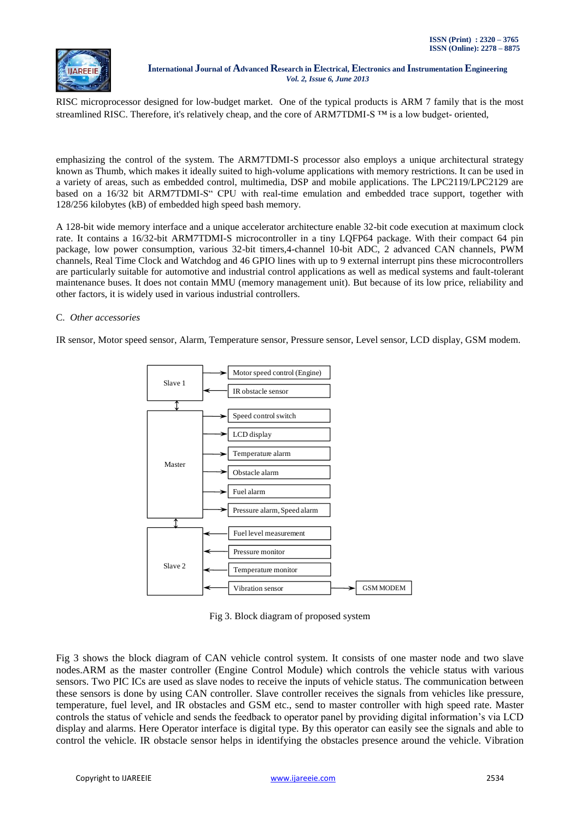RISC microprocessor designed for low-budget market. One of the typical products is ARM 7 family that is the most streamlined RISC. Therefore, it's relatively cheap, and the core of ARM7TDMI-S <sup>™</sup> is a low budget- oriented,

emphasizing the control of the system. The ARM7TDMI-S processor also employs a unique architectural strategy known as Thumb, which makes it ideally suited to high-volume applications with memory restrictions. It can be used in a variety of areas, such as embedded control, multimedia, DSP and mobile applications. The LPC2119/LPC2129 are based on a 16/32 bit ARM7TDMI-S" CPU with real-time emulation and embedded trace support, together with 128/256 kilobytes (kB) of embedded high speed bash memory.

A 128-bit wide memory interface and a unique accelerator architecture enable 32-bit code execution at maximum clock rate. It contains a 16/32-bit ARM7TDMI-S microcontroller in a tiny LQFP64 package. With their compact 64 pin package, low power consumption, various 32-bit timers,4-channel 10-bit ADC, 2 advanced CAN channels, PWM channels, Real Time Clock and Watchdog and 46 GPIO lines with up to 9 external interrupt pins these microcontrollers are particularly suitable for automotive and industrial control applications as well as medical systems and fault-tolerant maintenance buses. It does not contain MMU (memory management unit). But because of its low price, reliability and other factors, it is widely used in various industrial controllers.

### C. *Other accessories*

IR sensor, Motor speed sensor, Alarm, Temperature sensor, Pressure sensor, Level sensor, LCD display, GSM modem.



Fig 3. Block diagram of proposed system

Fig 3 shows the block diagram of CAN vehicle control system. It consists of one master node and two slave nodes.ARM as the master controller (Engine Control Module) which controls the vehicle status with various sensors. Two PIC ICs are used as slave nodes to receive the inputs of vehicle status. The communication between these sensors is done by using CAN controller. Slave controller receives the signals from vehicles like pressure, temperature, fuel level, and IR obstacles and GSM etc., send to master controller with high speed rate. Master controls the status of vehicle and sends the feedback to operator panel by providing digital information's via LCD display and alarms. Here Operator interface is digital type. By this operator can easily see the signals and able to control the vehicle. IR obstacle sensor helps in identifying the obstacles presence around the vehicle. Vibration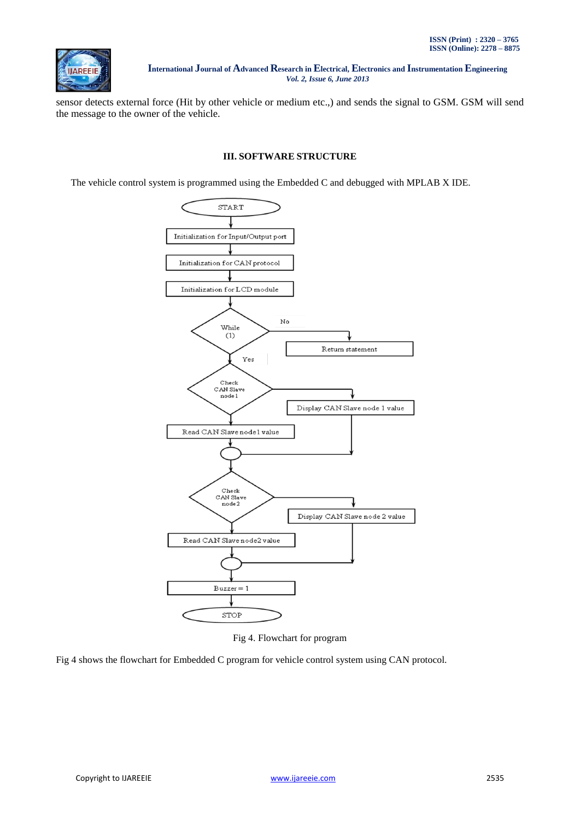

sensor detects external force (Hit by other vehicle or medium etc.,) and sends the signal to GSM. GSM will send the message to the owner of the vehicle.

## **III. SOFTWARE STRUCTURE**

The vehicle control system is programmed using the Embedded C and debugged with MPLAB X IDE.



Fig 4. Flowchart for program

Fig 4 shows the flowchart for Embedded C program for vehicle control system using CAN protocol.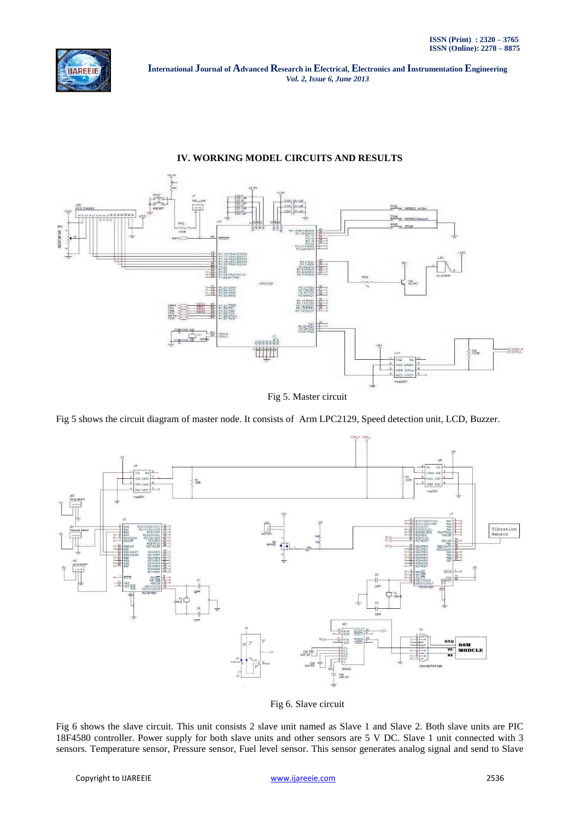

## **IV. WORKING MODEL CIRCUITS AND RESULTS**



Fig 5. Master circuit

Fig 5 shows the circuit diagram of master node. It consists of Arm LPC2129, Speed detection unit, LCD, Buzzer.



Fig 6. Slave circuit

Fig 6 shows the slave circuit. This unit consists 2 slave unit named as Slave 1 and Slave 2. Both slave units are PIC 18F4580 controller. Power supply for both slave units and other sensors are 5 V DC. Slave 1 unit connected with 3 sensors. Temperature sensor, Pressure sensor, Fuel level sensor. This sensor generates analog signal and send to Slave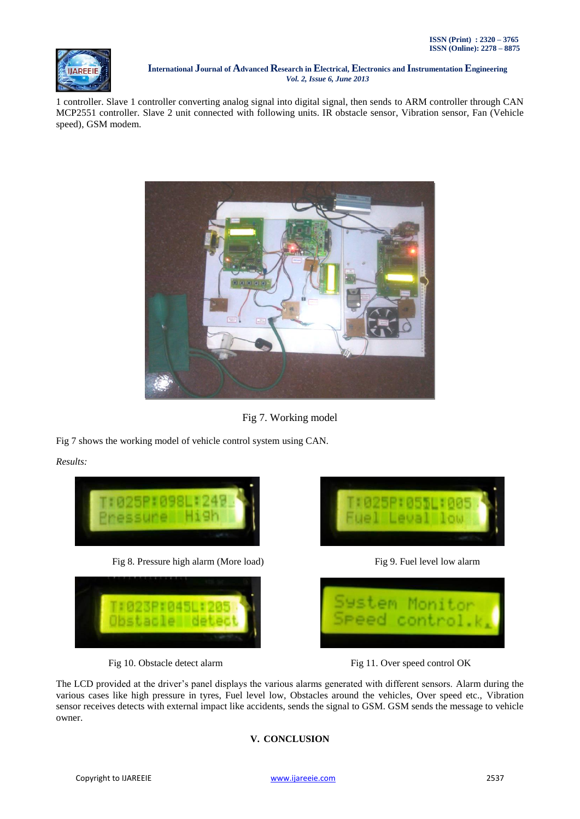

1 controller. Slave 1 controller converting analog signal into digital signal, then sends to ARM controller through CAN MCP2551 controller. Slave 2 unit connected with following units. IR obstacle sensor, Vibration sensor, Fan (Vehicle speed), GSM modem.



Fig 7. Working model

Fig 7 shows the working model of vehicle control system using CAN.

*Results:*









Fig 10. Obstacle detect alarm Fig 11. Over speed control OK

The LCD provided at the driver's panel displays the various alarms generated with different sensors. Alarm during the various cases like high pressure in tyres, Fuel level low, Obstacles around the vehicles, Over speed etc., Vibration sensor receives detects with external impact like accidents, sends the signal to GSM. GSM sends the message to vehicle owner.

## **V. CONCLUSION**